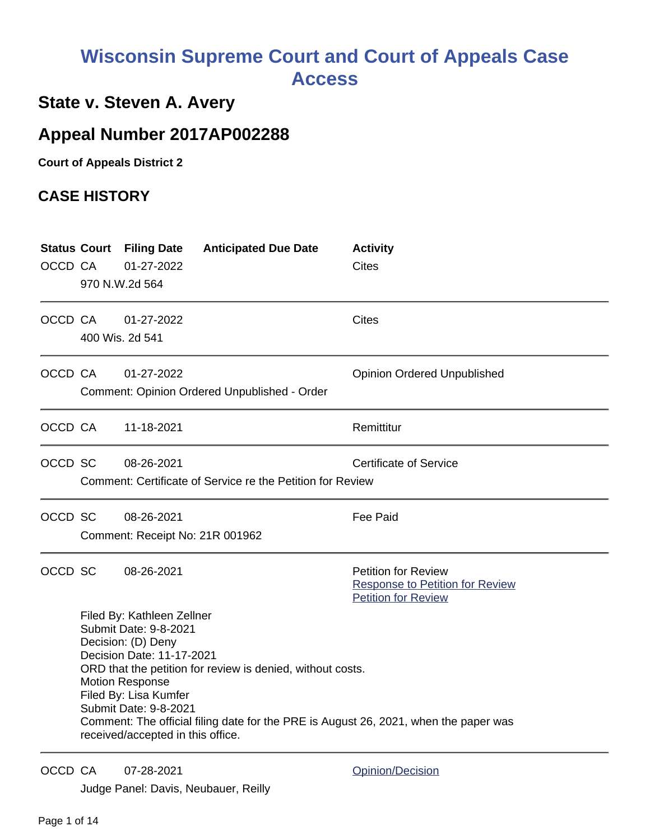# **Wisconsin Supreme Court and Court of Appeals Case Access**

# **State v. Steven A. Avery**

# **Appeal Number 2017AP002288**

**Court of Appeals District 2**

## **CASE HISTORY**

| OCCD CA |                                                                                                                                                                                                                                                                                                                                                                               | <b>Status Court Filing Date</b><br>01-27-2022<br>970 N.W.2d 564 | <b>Anticipated Due Date</b>                                | <b>Activity</b><br><b>Cites</b>                                                                    |
|---------|-------------------------------------------------------------------------------------------------------------------------------------------------------------------------------------------------------------------------------------------------------------------------------------------------------------------------------------------------------------------------------|-----------------------------------------------------------------|------------------------------------------------------------|----------------------------------------------------------------------------------------------------|
| OCCD CA |                                                                                                                                                                                                                                                                                                                                                                               | 01-27-2022<br>400 Wis. 2d 541                                   |                                                            | <b>Cites</b>                                                                                       |
| OCCD CA |                                                                                                                                                                                                                                                                                                                                                                               | 01-27-2022                                                      | Comment: Opinion Ordered Unpublished - Order               | <b>Opinion Ordered Unpublished</b>                                                                 |
| OCCD CA |                                                                                                                                                                                                                                                                                                                                                                               | 11-18-2021                                                      |                                                            | Remittitur                                                                                         |
| OCCD SC |                                                                                                                                                                                                                                                                                                                                                                               | 08-26-2021                                                      | Comment: Certificate of Service re the Petition for Review | <b>Certificate of Service</b>                                                                      |
| OCCD SC |                                                                                                                                                                                                                                                                                                                                                                               | 08-26-2021<br>Comment: Receipt No: 21R 001962                   |                                                            | <b>Fee Paid</b>                                                                                    |
| OCCD SC |                                                                                                                                                                                                                                                                                                                                                                               | 08-26-2021                                                      |                                                            | <b>Petition for Review</b><br><b>Response to Petition for Review</b><br><b>Petition for Review</b> |
|         | Filed By: Kathleen Zellner<br>Submit Date: 9-8-2021<br>Decision: (D) Deny<br>Decision Date: 11-17-2021<br>ORD that the petition for review is denied, without costs.<br><b>Motion Response</b><br>Filed By: Lisa Kumfer<br>Submit Date: 9-8-2021<br>Comment: The official filing date for the PRE is August 26, 2021, when the paper was<br>received/accepted in this office. |                                                                 |                                                            |                                                                                                    |

OCCD CA 07-28-2021 Quinting [Opinion/Decision](http://www.wicourts.gov/other/appeals/caopin.jsp?docket_number=2017AP002288)

Judge Panel: Davis, Neubauer, Reilly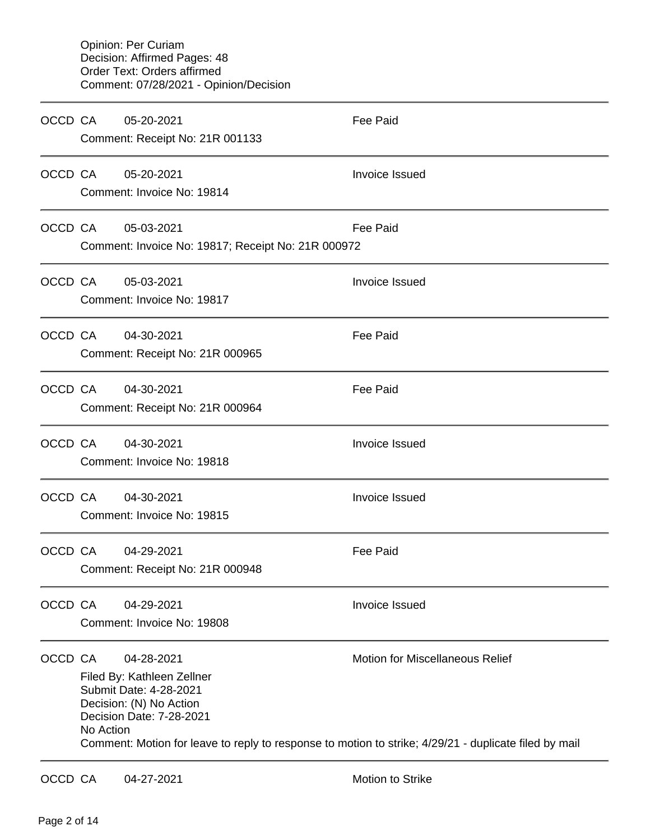| OCCD CA |           | 05-20-2021<br>Comment: Receipt No: 21R 001133                                                                             | Fee Paid                                                                                                                                        |
|---------|-----------|---------------------------------------------------------------------------------------------------------------------------|-------------------------------------------------------------------------------------------------------------------------------------------------|
| OCCD CA |           | 05-20-2021<br>Comment: Invoice No: 19814                                                                                  | <b>Invoice Issued</b>                                                                                                                           |
| OCCD CA |           | 05-03-2021<br>Comment: Invoice No: 19817; Receipt No: 21R 000972                                                          | Fee Paid                                                                                                                                        |
| OCCD CA |           | 05-03-2021<br>Comment: Invoice No: 19817                                                                                  | Invoice Issued                                                                                                                                  |
| OCCD CA |           | 04-30-2021<br>Comment: Receipt No: 21R 000965                                                                             | <b>Fee Paid</b>                                                                                                                                 |
| OCCD CA |           | 04-30-2021<br>Comment: Receipt No: 21R 000964                                                                             | <b>Fee Paid</b>                                                                                                                                 |
| OCCD CA |           | 04-30-2021<br>Comment: Invoice No: 19818                                                                                  | <b>Invoice Issued</b>                                                                                                                           |
| OCCD CA |           | 04-30-2021<br>Comment: Invoice No: 19815                                                                                  | <b>Invoice Issued</b>                                                                                                                           |
| OCCD CA |           | 04-29-2021<br>Comment: Receipt No: 21R 000948                                                                             | <b>Fee Paid</b>                                                                                                                                 |
| OCCD CA |           | 04-29-2021<br>Comment: Invoice No: 19808                                                                                  | Invoice Issued                                                                                                                                  |
| OCCD CA | No Action | 04-28-2021<br>Filed By: Kathleen Zellner<br>Submit Date: 4-28-2021<br>Decision: (N) No Action<br>Decision Date: 7-28-2021 | <b>Motion for Miscellaneous Relief</b><br>Comment: Motion for leave to reply to response to motion to strike; 4/29/21 - duplicate filed by mail |
| OCCD CA |           | 04-27-2021                                                                                                                | Motion to Strike                                                                                                                                |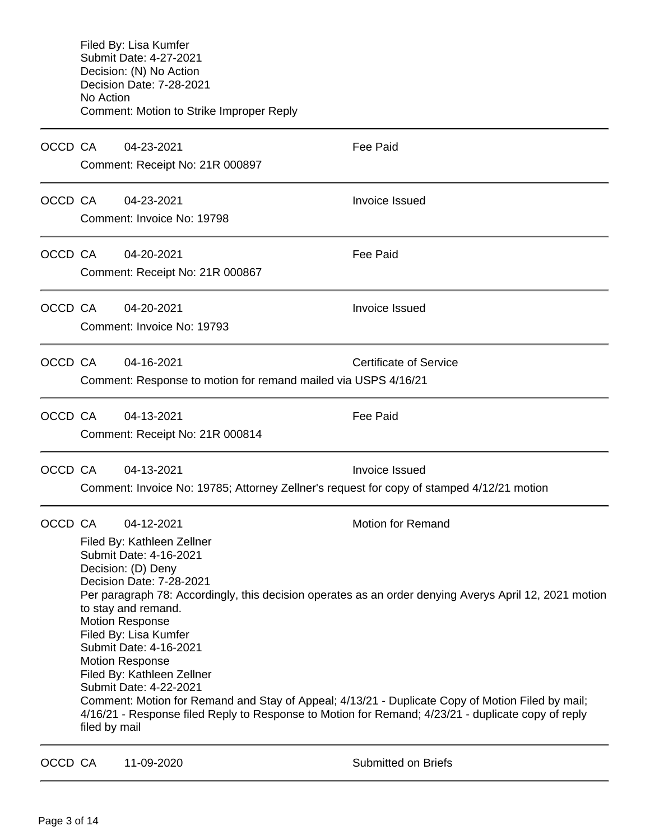Filed By: Lisa Kumfer Submit Date: 4-27-2021 Decision: (N) No Action Decision Date: 7-28-2021 No Action Comment: Motion to Strike Improper Reply OCCD CA 04-23-2021 Fee Paid Comment: Receipt No: 21R 000897 OCCD CA 04-23-2021 **Invoice Issued** Comment: Invoice No: 19798 OCCD CA 04-20-2021 **Fee Paid** Comment: Receipt No: 21R 000867 OCCD CA 04-20-2021 Invoice Issued Comment: Invoice No: 19793 OCCD CA  $04-16-2021$  Certificate of Service Comment: Response to motion for remand mailed via USPS 4/16/21 OCCD CA 04-13-2021 Fee Paid Comment: Receipt No: 21R 000814

OCCD CA  $04-13-2021$  and the linear series of the linear series of the linear series of the linear series of the linear series of the linear series of the linear series of the linear series of the linear series of the line Comment: Invoice No: 19785; Attorney Zellner's request for copy of stamped 4/12/21 motion

OCCD CA 04-12-2021 Motion for Remand Filed By: Kathleen Zellner Submit Date: 4-16-2021 Decision: (D) Deny Decision Date: 7-28-2021 Per paragraph 78: Accordingly, this decision operates as an order denying Averys April 12, 2021 motion to stay and remand. Motion Response Filed By: Lisa Kumfer Submit Date: 4-16-2021 Motion Response Filed By: Kathleen Zellner Submit Date: 4-22-2021 Comment: Motion for Remand and Stay of Appeal; 4/13/21 - Duplicate Copy of Motion Filed by mail; 4/16/21 - Response filed Reply to Response to Motion for Remand; 4/23/21 - duplicate copy of reply filed by mail

OCCD CA 11-09-2020 Submitted on Briefs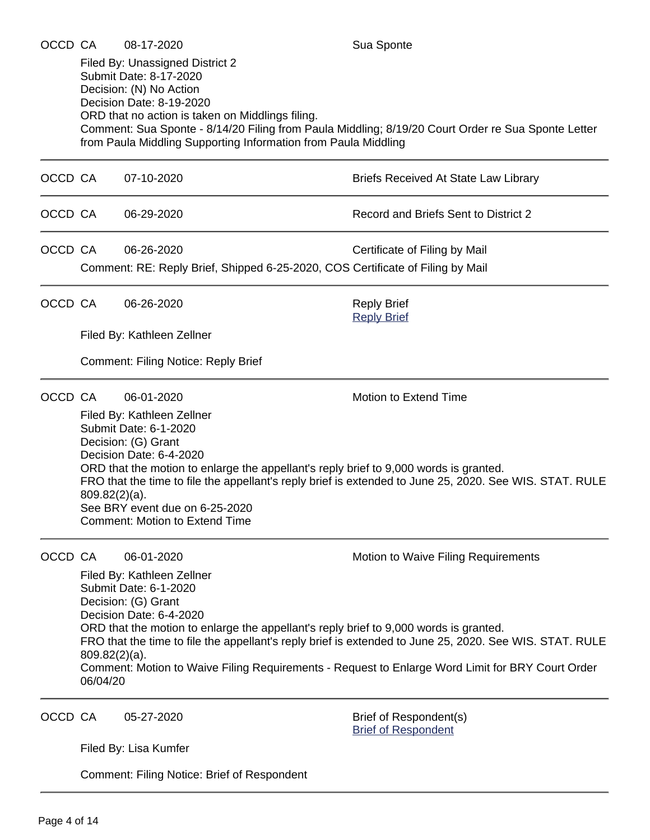Filed By: Unassigned District 2 Submit Date: 8-17-2020 Decision: (N) No Action Decision Date: 8-19-2020 ORD that no action is taken on Middlings filing. Comment: Sua Sponte - 8/14/20 Filing from Paula Middling; 8/19/20 Court Order re Sua Sponte Letter from Paula Middling Supporting Information from Paula Middling

- OCCD CA 07-10-2020 **Briefs Received At State Law Library** OCCD CA 06-29-2020 Record and Briefs Sent to District 2
- OCCD CA 06-26-2020 Certificate of Filing by Mail Comment: RE: Reply Brief, Shipped 6-25-2020, COS Certificate of Filing by Mail

OCCD CA 06-26-2020 Reply Brief

[Reply Brief](https://acefiling.wicourts.gov/document/eFiled/2017AP002288/266063)

Filed By: Kathleen Zellner

Comment: Filing Notice: Reply Brief

OCCD CA 06-01-2020 Motion to Extend Time

Filed By: Kathleen Zellner Submit Date: 6-1-2020 Decision: (G) Grant Decision Date: 6-4-2020 ORD that the motion to enlarge the appellant's reply brief to 9,000 words is granted. FRO that the time to file the appellant's reply brief is extended to June 25, 2020. See WIS. STAT. RULE 809.82(2)(a). See BRY event due on 6-25-2020 Comment: Motion to Extend Time

OCCD CA 06-01-2020 **Motion to Waive Filing Requirements** 

Filed By: Kathleen Zellner Submit Date: 6-1-2020 Decision: (G) Grant Decision Date: 6-4-2020 ORD that the motion to enlarge the appellant's reply brief to 9,000 words is granted. FRO that the time to file the appellant's reply brief is extended to June 25, 2020. See WIS. STAT. RULE 809.82(2)(a). Comment: Motion to Waive Filing Requirements - Request to Enlarge Word Limit for BRY Court Order 06/04/20

OCCD CA 05-27-2020 Brief of Respondent(s)

[Brief of Respondent](https://acefiling.wicourts.gov/document/eFiled/2017AP002288/262660)

Filed By: Lisa Kumfer

Comment: Filing Notice: Brief of Respondent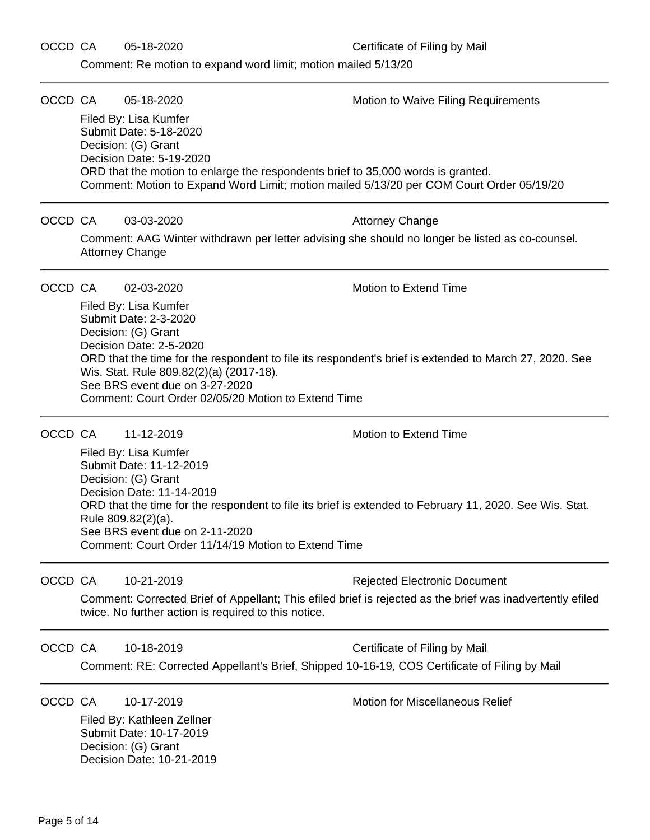Comment: Re motion to expand word limit; motion mailed 5/13/20

OCCD CA 05-18-2020 **Motion to Waive Filing Requirements** Filed By: Lisa Kumfer Submit Date: 5-18-2020 Decision: (G) Grant Decision Date: 5-19-2020 ORD that the motion to enlarge the respondents brief to 35,000 words is granted. Comment: Motion to Expand Word Limit; motion mailed 5/13/20 per COM Court Order 05/19/20 OCCD CA 03-03-2020 Attorney Change Comment: AAG Winter withdrawn per letter advising she should no longer be listed as co-counsel. Attorney Change OCCD CA 02-03-2020 Motion to Extend Time Filed By: Lisa Kumfer Submit Date: 2-3-2020 Decision: (G) Grant Decision Date: 2-5-2020 ORD that the time for the respondent to file its respondent's brief is extended to March 27, 2020. See Wis. Stat. Rule 809.82(2)(a) (2017-18). See BRS event due on 3-27-2020 Comment: Court Order 02/05/20 Motion to Extend Time OCCD CA 11-12-2019 Motion to Extend Time Filed By: Lisa Kumfer Submit Date: 11-12-2019 Decision: (G) Grant Decision Date: 11-14-2019 ORD that the time for the respondent to file its brief is extended to February 11, 2020. See Wis. Stat. Rule 809.82(2)(a). See BRS event due on 2-11-2020 Comment: Court Order 11/14/19 Motion to Extend Time OCCD CA 10-21-2019 **Rejected Electronic Document** Comment: Corrected Brief of Appellant; This efiled brief is rejected as the brief was inadvertently efiled twice. No further action is required to this notice. OCCD CA 10-18-2019 **CELL CAN CELL CONCLUSION** Certificate of Filing by Mail Comment: RE: Corrected Appellant's Brief, Shipped 10-16-19, COS Certificate of Filing by Mail OCCD CA 10-17-2019 Motion for Miscellaneous Relief Filed By: Kathleen Zellner Submit Date: 10-17-2019 Decision: (G) Grant Decision Date: 10-21-2019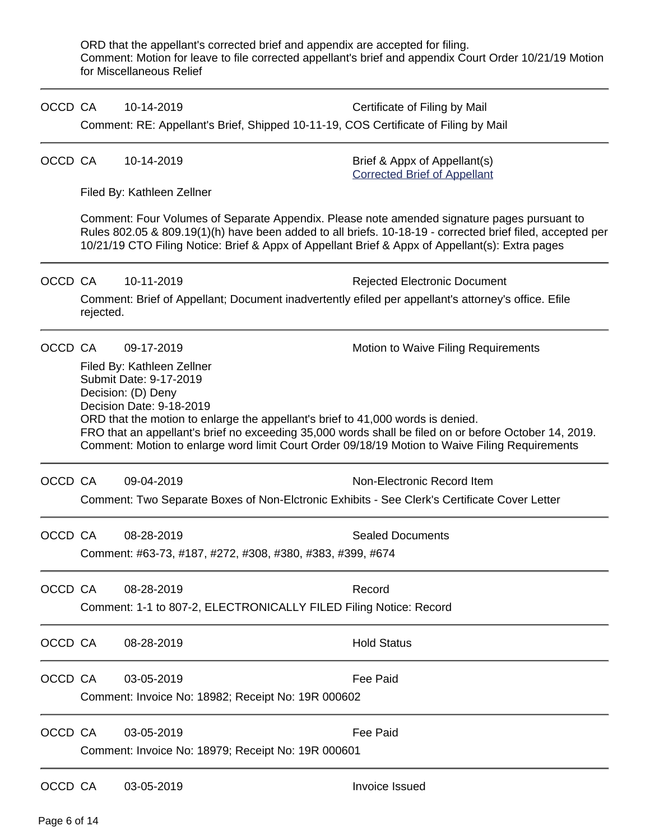ORD that the appellant's corrected brief and appendix are accepted for filing. Comment: Motion for leave to file corrected appellant's brief and appendix Court Order 10/21/19 Motion for Miscellaneous Relief

| OCCD CA                                                                             |                                                    | 10-14-2019                                                                                                                                                                                                                                                                                                  | Certificate of Filing by Mail                                                                         |  |  |
|-------------------------------------------------------------------------------------|----------------------------------------------------|-------------------------------------------------------------------------------------------------------------------------------------------------------------------------------------------------------------------------------------------------------------------------------------------------------------|-------------------------------------------------------------------------------------------------------|--|--|
| Comment: RE: Appellant's Brief, Shipped 10-11-19, COS Certificate of Filing by Mail |                                                    |                                                                                                                                                                                                                                                                                                             |                                                                                                       |  |  |
| OCCD CA                                                                             |                                                    | 10-14-2019                                                                                                                                                                                                                                                                                                  | Brief & Appx of Appellant(s)<br><b>Corrected Brief of Appellant</b>                                   |  |  |
|                                                                                     |                                                    | Filed By: Kathleen Zellner                                                                                                                                                                                                                                                                                  |                                                                                                       |  |  |
|                                                                                     |                                                    | Comment: Four Volumes of Separate Appendix. Please note amended signature pages pursuant to<br>Rules 802.05 & 809.19(1)(h) have been added to all briefs. 10-18-19 - corrected brief filed, accepted per<br>10/21/19 CTO Filing Notice: Brief & Appx of Appellant Brief & Appx of Appellant(s): Extra pages |                                                                                                       |  |  |
| OCCD CA                                                                             |                                                    | 10-11-2019                                                                                                                                                                                                                                                                                                  | <b>Rejected Electronic Document</b>                                                                   |  |  |
|                                                                                     | rejected.                                          |                                                                                                                                                                                                                                                                                                             | Comment: Brief of Appellant; Document inadvertently efiled per appellant's attorney's office. Efile   |  |  |
| OCCD CA                                                                             |                                                    | 09-17-2019                                                                                                                                                                                                                                                                                                  | Motion to Waive Filing Requirements                                                                   |  |  |
|                                                                                     |                                                    | Filed By: Kathleen Zellner<br>Submit Date: 9-17-2019<br>Decision: (D) Deny<br>Decision Date: 9-18-2019<br>ORD that the motion to enlarge the appellant's brief to 41,000 words is denied.                                                                                                                   | FRO that an appellant's brief no exceeding 35,000 words shall be filed on or before October 14, 2019. |  |  |
|                                                                                     |                                                    |                                                                                                                                                                                                                                                                                                             | Comment: Motion to enlarge word limit Court Order 09/18/19 Motion to Waive Filing Requirements        |  |  |
| OCCD CA                                                                             |                                                    | 09-04-2019                                                                                                                                                                                                                                                                                                  | Non-Electronic Record Item                                                                            |  |  |
|                                                                                     |                                                    | Comment: Two Separate Boxes of Non-Elctronic Exhibits - See Clerk's Certificate Cover Letter                                                                                                                                                                                                                |                                                                                                       |  |  |
| OCCD CA                                                                             |                                                    | 08-28-2019                                                                                                                                                                                                                                                                                                  | <b>Sealed Documents</b>                                                                               |  |  |
|                                                                                     |                                                    | Comment: #63-73, #187, #272, #308, #380, #383, #399, #674                                                                                                                                                                                                                                                   |                                                                                                       |  |  |
| OCCD CA                                                                             |                                                    | 08-28-2019                                                                                                                                                                                                                                                                                                  | Record                                                                                                |  |  |
|                                                                                     |                                                    | Comment: 1-1 to 807-2, ELECTRONICALLY FILED Filing Notice: Record                                                                                                                                                                                                                                           |                                                                                                       |  |  |
| OCCD CA                                                                             |                                                    | 08-28-2019                                                                                                                                                                                                                                                                                                  | <b>Hold Status</b>                                                                                    |  |  |
| OCCD CA                                                                             |                                                    | 03-05-2019                                                                                                                                                                                                                                                                                                  | <b>Fee Paid</b>                                                                                       |  |  |
|                                                                                     |                                                    | Comment: Invoice No: 18982; Receipt No: 19R 000602                                                                                                                                                                                                                                                          |                                                                                                       |  |  |
| OCCD CA                                                                             |                                                    | 03-05-2019                                                                                                                                                                                                                                                                                                  | <b>Fee Paid</b>                                                                                       |  |  |
|                                                                                     | Comment: Invoice No: 18979; Receipt No: 19R 000601 |                                                                                                                                                                                                                                                                                                             |                                                                                                       |  |  |
| OCCD CA                                                                             |                                                    | 03-05-2019                                                                                                                                                                                                                                                                                                  | Invoice Issued                                                                                        |  |  |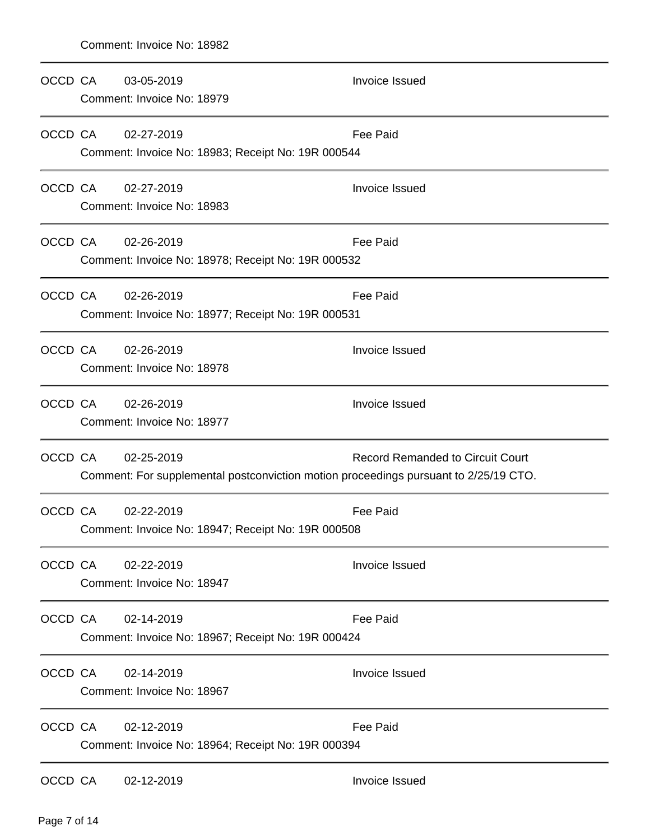| OCCD CA | 03-05-2019<br>Comment: Invoice No: 18979                                                           | <b>Invoice Issued</b>                   |
|---------|----------------------------------------------------------------------------------------------------|-----------------------------------------|
| OCCD CA | 02-27-2019<br>Comment: Invoice No: 18983; Receipt No: 19R 000544                                   | <b>Fee Paid</b>                         |
| OCCD CA | 02-27-2019<br>Comment: Invoice No: 18983                                                           | <b>Invoice Issued</b>                   |
| OCCD CA | 02-26-2019<br>Comment: Invoice No: 18978; Receipt No: 19R 000532                                   | Fee Paid                                |
| OCCD CA | 02-26-2019<br>Comment: Invoice No: 18977; Receipt No: 19R 000531                                   | Fee Paid                                |
| OCCD CA | 02-26-2019<br>Comment: Invoice No: 18978                                                           | Invoice Issued                          |
| OCCD CA | 02-26-2019<br>Comment: Invoice No: 18977                                                           | Invoice Issued                          |
| OCCD CA | 02-25-2019<br>Comment: For supplemental postconviction motion proceedings pursuant to 2/25/19 CTO. | <b>Record Remanded to Circuit Court</b> |
| OCCD CA | 02-22-2019<br>Comment: Invoice No: 18947; Receipt No: 19R 000508                                   | <b>Fee Paid</b>                         |
| OCCD CA | 02-22-2019<br>Comment: Invoice No: 18947                                                           | <b>Invoice Issued</b>                   |
| OCCD CA | 02-14-2019<br>Comment: Invoice No: 18967; Receipt No: 19R 000424                                   | Fee Paid                                |
| OCCD CA | 02-14-2019<br>Comment: Invoice No: 18967                                                           | Invoice Issued                          |
| OCCD CA | 02-12-2019<br>Comment: Invoice No: 18964; Receipt No: 19R 000394                                   | Fee Paid                                |
| OCCD CA | 02-12-2019                                                                                         | <b>Invoice Issued</b>                   |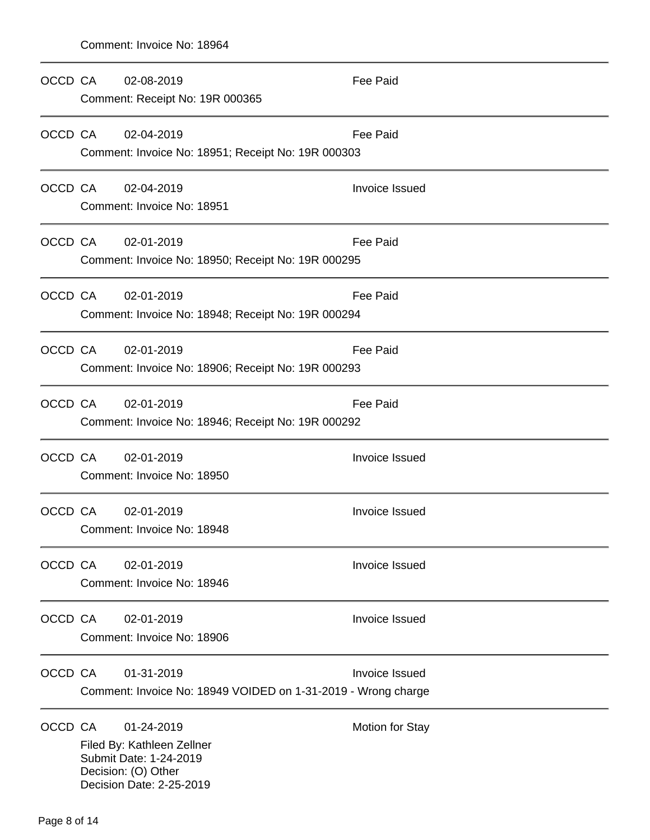| OCCD CA | 02-08-2019<br>Comment: Receipt No: 19R 000365                                                                         | <b>Fee Paid</b>        |
|---------|-----------------------------------------------------------------------------------------------------------------------|------------------------|
| OCCD CA | 02-04-2019<br>Comment: Invoice No: 18951; Receipt No: 19R 000303                                                      | Fee Paid               |
| OCCD CA | 02-04-2019<br>Comment: Invoice No: 18951                                                                              | Invoice Issued         |
| OCCD CA | 02-01-2019<br>Comment: Invoice No: 18950; Receipt No: 19R 000295                                                      | Fee Paid               |
| OCCD CA | 02-01-2019<br>Comment: Invoice No: 18948; Receipt No: 19R 000294                                                      | Fee Paid               |
| OCCD CA | 02-01-2019<br>Comment: Invoice No: 18906; Receipt No: 19R 000293                                                      | Fee Paid               |
| OCCD CA | 02-01-2019<br>Comment: Invoice No: 18946; Receipt No: 19R 000292                                                      | Fee Paid               |
| OCCD CA | 02-01-2019<br>Comment: Invoice No: 18950                                                                              | Invoice Issued         |
| OCCD CA | 02-01-2019<br>Comment: Invoice No: 18948                                                                              | Invoice Issued         |
| OCCD CA | 02-01-2019<br>Comment: Invoice No: 18946                                                                              | Invoice Issued         |
| OCCD CA | 02-01-2019<br>Comment: Invoice No: 18906                                                                              | Invoice Issued         |
| OCCD CA | 01-31-2019<br>Comment: Invoice No: 18949 VOIDED on 1-31-2019 - Wrong charge                                           | <b>Invoice Issued</b>  |
| OCCD CA | 01-24-2019<br>Filed By: Kathleen Zellner<br>Submit Date: 1-24-2019<br>Decision: (O) Other<br>Decision Date: 2-25-2019 | <b>Motion for Stay</b> |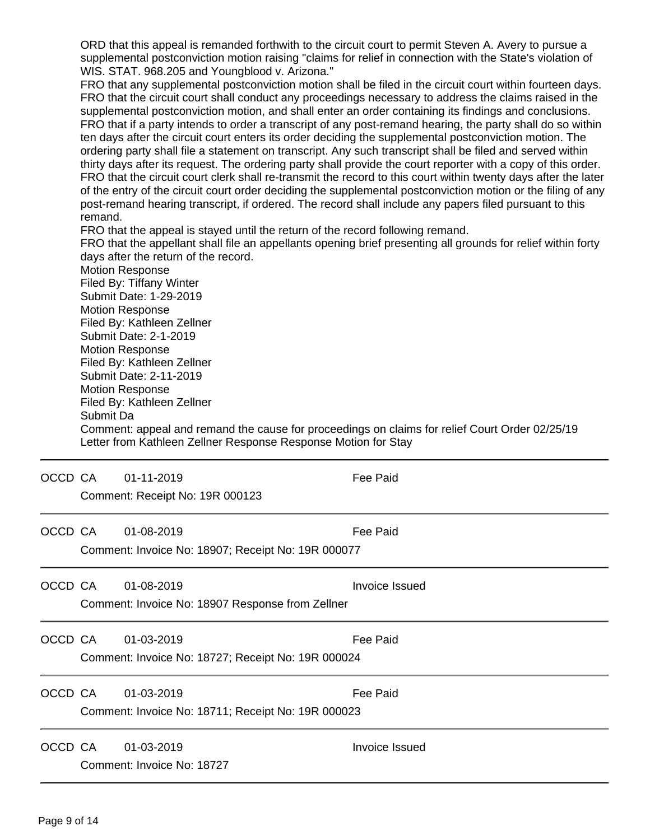ORD that this appeal is remanded forthwith to the circuit court to permit Steven A. Avery to pursue a supplemental postconviction motion raising "claims for relief in connection with the State's violation of WIS. STAT. 968.205 and Youngblood v. Arizona."

FRO that any supplemental postconviction motion shall be filed in the circuit court within fourteen days. FRO that the circuit court shall conduct any proceedings necessary to address the claims raised in the supplemental postconviction motion, and shall enter an order containing its findings and conclusions. FRO that if a party intends to order a transcript of any post-remand hearing, the party shall do so within ten days after the circuit court enters its order deciding the supplemental postconviction motion. The ordering party shall file a statement on transcript. Any such transcript shall be filed and served within thirty days after its request. The ordering party shall provide the court reporter with a copy of this order. FRO that the circuit court clerk shall re-transmit the record to this court within twenty days after the later of the entry of the circuit court order deciding the supplemental postconviction motion or the filing of any post-remand hearing transcript, if ordered. The record shall include any papers filed pursuant to this remand.

FRO that the appeal is stayed until the return of the record following remand.

FRO that the appellant shall file an appellants opening brief presenting all grounds for relief within forty days after the return of the record.

Motion Response Filed By: Tiffany Winter Submit Date: 1-29-2019 Motion Response Filed By: Kathleen Zellner Submit Date: 2-1-2019 Motion Response Filed By: Kathleen Zellner Submit Date: 2-11-2019 Motion Response Filed By: Kathleen Zellner Submit Da Comment: appeal and remand the cause for proceedings on claims for relief Court Order 02/25/19 Letter from Kathleen Zellner Response Response Motion for Stay

| OCCD CA | 01-11-2019<br>Comment: Receipt No: 19R 000123                    | Fee Paid        |
|---------|------------------------------------------------------------------|-----------------|
| OCCD CA | 01-08-2019<br>Comment: Invoice No: 18907; Receipt No: 19R 000077 | Fee Paid        |
| OCCD CA | 01-08-2019<br>Comment: Invoice No: 18907 Response from Zellner   | Invoice Issued  |
| OCCD CA | 01-03-2019<br>Comment: Invoice No: 18727; Receipt No: 19R 000024 | Fee Paid        |
| OCCD CA | 01-03-2019<br>Comment: Invoice No: 18711; Receipt No: 19R 000023 | <b>Fee Paid</b> |
| OCCD CA | 01-03-2019<br>Comment: Invoice No: 18727                         | Invoice Issued  |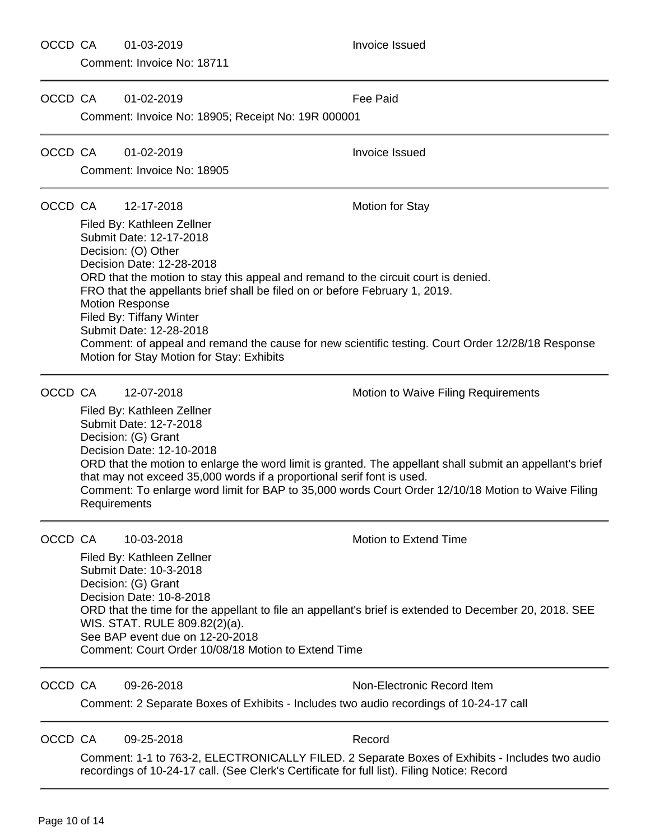#### OCCD CA 01-03-2019 Invoice Issued

Comment: Invoice No: 18711

OCCD CA 01-02-2019 Fee Paid Comment: Invoice No: 18905; Receipt No: 19R 000001 OCCD CA 01-02-2019 Invoice Issued Comment: Invoice No: 18905 OCCD CA 12-17-2018 Motion for Stay Filed By: Kathleen Zellner Submit Date: 12-17-2018 Decision: (O) Other Decision Date: 12-28-2018 ORD that the motion to stay this appeal and remand to the circuit court is denied. FRO that the appellants brief shall be filed on or before February 1, 2019. Motion Response Filed By: Tiffany Winter Submit Date: 12-28-2018 Comment: of appeal and remand the cause for new scientific testing. Court Order 12/28/18 Response Motion for Stay Motion for Stay: Exhibits OCCD CA 12-07-2018 12-07-2018 Motion to Waive Filing Requirements Filed By: Kathleen Zellner Submit Date: 12-7-2018 Decision: (G) Grant Decision Date: 12-10-2018 ORD that the motion to enlarge the word limit is granted. The appellant shall submit an appellant's brief that may not exceed 35,000 words if a proportional serif font is used. Comment: To enlarge word limit for BAP to 35,000 words Court Order 12/10/18 Motion to Waive Filing Requirements OCCD CA 10-03-2018 Motion to Extend Time Filed By: Kathleen Zellner Submit Date: 10-3-2018 Decision: (G) Grant Decision Date: 10-8-2018 ORD that the time for the appellant to file an appellant's brief is extended to December 20, 2018. SEE WIS. STAT. RULE 809.82(2)(a). See BAP event due on 12-20-2018 Comment: Court Order 10/08/18 Motion to Extend Time

OCCD CA 09-26-2018 Non-Electronic Record Item

Comment: 2 Separate Boxes of Exhibits - Includes two audio recordings of 10-24-17 call

OCCD CA 09-25-2018 Record

Comment: 1-1 to 763-2, ELECTRONICALLY FILED. 2 Separate Boxes of Exhibits - Includes two audio recordings of 10-24-17 call. (See Clerk's Certificate for full list). Filing Notice: Record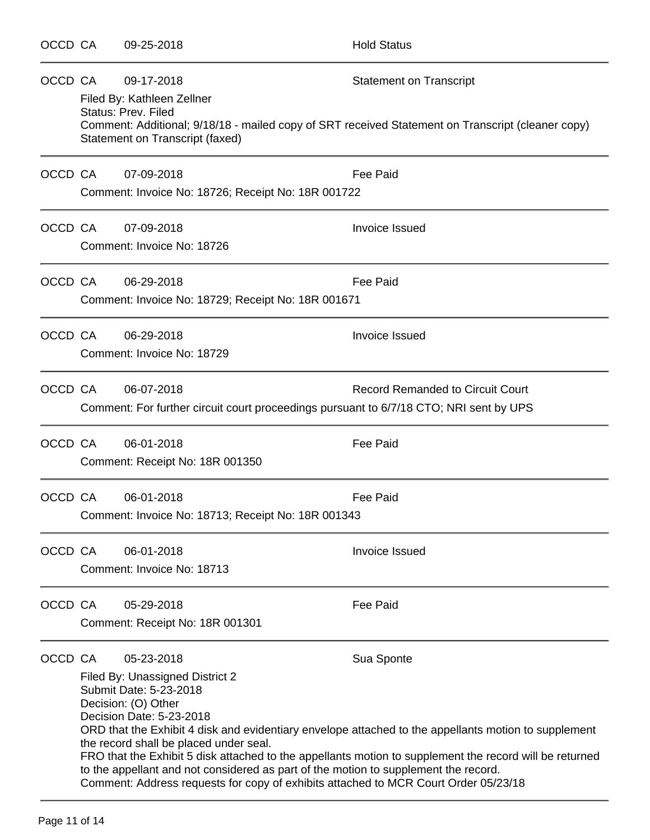| OCCD CA | 09-25-2018                                                                                                                                                                                                                                                                                                                                         | <b>Hold Status</b>                                                                                                                                                                                                            |
|---------|----------------------------------------------------------------------------------------------------------------------------------------------------------------------------------------------------------------------------------------------------------------------------------------------------------------------------------------------------|-------------------------------------------------------------------------------------------------------------------------------------------------------------------------------------------------------------------------------|
| OCCD CA | 09-17-2018<br>Filed By: Kathleen Zellner<br>Status: Prev. Filed<br>Statement on Transcript (faxed)                                                                                                                                                                                                                                                 | <b>Statement on Transcript</b><br>Comment: Additional; 9/18/18 - mailed copy of SRT received Statement on Transcript (cleaner copy)                                                                                           |
| OCCD CA | 07-09-2018<br>Comment: Invoice No: 18726; Receipt No: 18R 001722                                                                                                                                                                                                                                                                                   | <b>Fee Paid</b>                                                                                                                                                                                                               |
| OCCD CA | 07-09-2018<br>Comment: Invoice No: 18726                                                                                                                                                                                                                                                                                                           | Invoice Issued                                                                                                                                                                                                                |
| OCCD CA | 06-29-2018<br>Comment: Invoice No: 18729; Receipt No: 18R 001671                                                                                                                                                                                                                                                                                   | <b>Fee Paid</b>                                                                                                                                                                                                               |
| OCCD CA | 06-29-2018<br>Comment: Invoice No: 18729                                                                                                                                                                                                                                                                                                           | Invoice Issued                                                                                                                                                                                                                |
| OCCD CA | 06-07-2018<br>Comment: For further circuit court proceedings pursuant to 6/7/18 CTO; NRI sent by UPS                                                                                                                                                                                                                                               | <b>Record Remanded to Circuit Court</b>                                                                                                                                                                                       |
| OCCD CA | 06-01-2018<br>Comment: Receipt No: 18R 001350                                                                                                                                                                                                                                                                                                      | Fee Paid                                                                                                                                                                                                                      |
| OCCD CA | 06-01-2018<br>Comment: Invoice No: 18713; Receipt No: 18R 001343                                                                                                                                                                                                                                                                                   | Fee Paid                                                                                                                                                                                                                      |
| OCCD CA | 06-01-2018<br>Comment: Invoice No: 18713                                                                                                                                                                                                                                                                                                           | <b>Invoice Issued</b>                                                                                                                                                                                                         |
| OCCD CA | 05-29-2018<br>Comment: Receipt No: 18R 001301                                                                                                                                                                                                                                                                                                      | <b>Fee Paid</b>                                                                                                                                                                                                               |
| OCCD CA | 05-23-2018<br>Filed By: Unassigned District 2<br>Submit Date: 5-23-2018<br>Decision: (O) Other<br>Decision Date: 5-23-2018<br>the record shall be placed under seal.<br>to the appellant and not considered as part of the motion to supplement the record.<br>Comment: Address requests for copy of exhibits attached to MCR Court Order 05/23/18 | Sua Sponte<br>ORD that the Exhibit 4 disk and evidentiary envelope attached to the appellants motion to supplement<br>FRO that the Exhibit 5 disk attached to the appellants motion to supplement the record will be returned |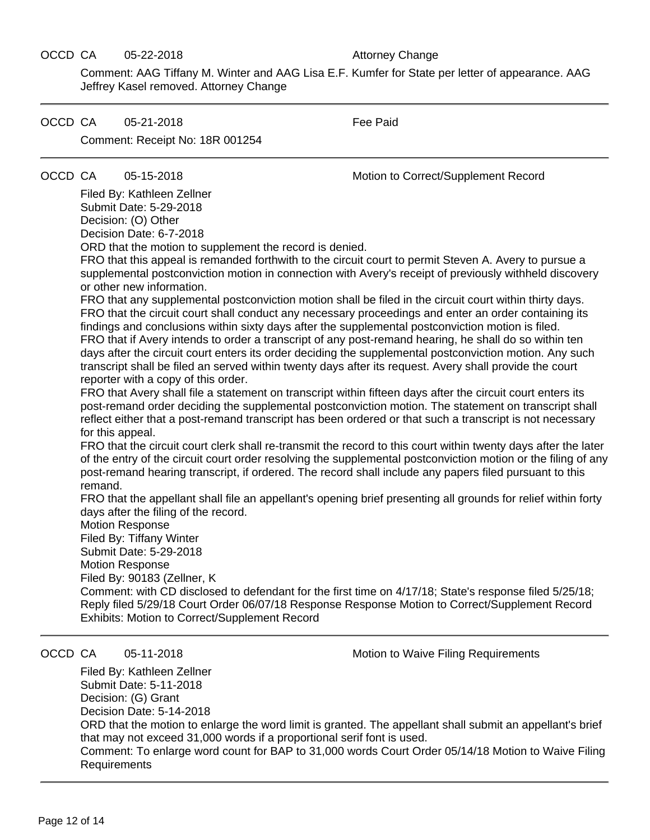#### OCCD CA 05-22-2018 Attorney Change

Comment: AAG Tiffany M. Winter and AAG Lisa E.F. Kumfer for State per letter of appearance. AAG Jeffrey Kasel removed. Attorney Change

OCCD CA 05-21-2018 General Secret Paid Comment: Receipt No: 18R 001254

OCCD CA 05-15-2018 Motion to Correct/Supplement Record

Filed By: Kathleen Zellner Submit Date: 5-29-2018 Decision: (O) Other Decision Date: 6-7-2018

ORD that the motion to supplement the record is denied.

FRO that this appeal is remanded forthwith to the circuit court to permit Steven A. Avery to pursue a supplemental postconviction motion in connection with Avery's receipt of previously withheld discovery or other new information.

FRO that any supplemental postconviction motion shall be filed in the circuit court within thirty days. FRO that the circuit court shall conduct any necessary proceedings and enter an order containing its findings and conclusions within sixty days after the supplemental postconviction motion is filed. FRO that if Avery intends to order a transcript of any post-remand hearing, he shall do so within ten days after the circuit court enters its order deciding the supplemental postconviction motion. Any such transcript shall be filed an served within twenty days after its request. Avery shall provide the court reporter with a copy of this order.

FRO that Avery shall file a statement on transcript within fifteen days after the circuit court enters its post-remand order deciding the supplemental postconviction motion. The statement on transcript shall reflect either that a post-remand transcript has been ordered or that such a transcript is not necessary for this appeal.

FRO that the circuit court clerk shall re-transmit the record to this court within twenty days after the later of the entry of the circuit court order resolving the supplemental postconviction motion or the filing of any post-remand hearing transcript, if ordered. The record shall include any papers filed pursuant to this remand.

FRO that the appellant shall file an appellant's opening brief presenting all grounds for relief within forty days after the filing of the record.

Motion Response Filed By: Tiffany Winter Submit Date: 5-29-2018 Motion Response Filed By: 90183 (Zellner, K Comment: with CD disclosed to defendant for the first time on 4/17/18; State's response filed 5/25/18; Reply filed 5/29/18 Court Order 06/07/18 Response Response Motion to Correct/Supplement Record Exhibits: Motion to Correct/Supplement Record

OCCD CA 05-11-2018 Motion to Waive Filing Requirements

Filed By: Kathleen Zellner Submit Date: 5-11-2018 Decision: (G) Grant Decision Date: 5-14-2018 ORD that the motion to enlarge the word limit is granted. The appellant shall submit an appellant's brief that may not exceed 31,000 words if a proportional serif font is used. Comment: To enlarge word count for BAP to 31,000 words Court Order 05/14/18 Motion to Waive Filing Requirements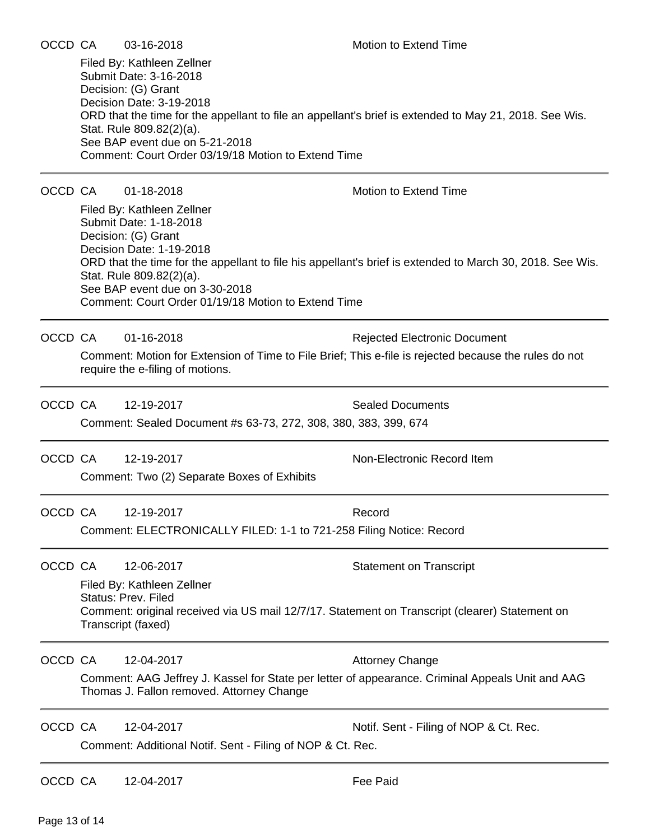Comment: Court Order 03/19/18 Motion to Extend Time

### OCCD CA 01-18-2018 Motion to Extend Time

Filed By: Kathleen Zellner Submit Date: 1-18-2018 Decision: (G) Grant Decision Date: 1-19-2018 ORD that the time for the appellant to file his appellant's brief is extended to March 30, 2018. See Wis. Stat. Rule 809.82(2)(a). See BAP event due on 3-30-2018 Comment: Court Order 01/19/18 Motion to Extend Time

OCCD CA 01-16-2018 **Rejected Electronic Document** 

Comment: Motion for Extension of Time to File Brief; This e-file is rejected because the rules do not require the e-filing of motions.

OCCD CA 12-19-2017 Sealed Documents Comment: Sealed Document #s 63-73, 272, 308, 380, 383, 399, 674

OCCD CA 12-19-2017 Non-Electronic Record Item

Comment: Two (2) Separate Boxes of Exhibits

OCCD CA 12-19-2017 Record Comment: ELECTRONICALLY FILED: 1-1 to 721-258 Filing Notice: Record

OCCD CA 12-06-2017 Statement on Transcript

Filed By: Kathleen Zellner Status: Prev. Filed Comment: original received via US mail 12/7/17. Statement on Transcript (clearer) Statement on Transcript (faxed)

OCCD CA 12-04-2017 **Attorney Change** 

Comment: AAG Jeffrey J. Kassel for State per letter of appearance. Criminal Appeals Unit and AAG Thomas J. Fallon removed. Attorney Change

OCCD CA 12-04-2017 Notif. Sent - Filing of NOP & Ct. Rec.

Comment: Additional Notif. Sent - Filing of NOP & Ct. Rec.

OCCD CA 12-04-2017 Fee Paid